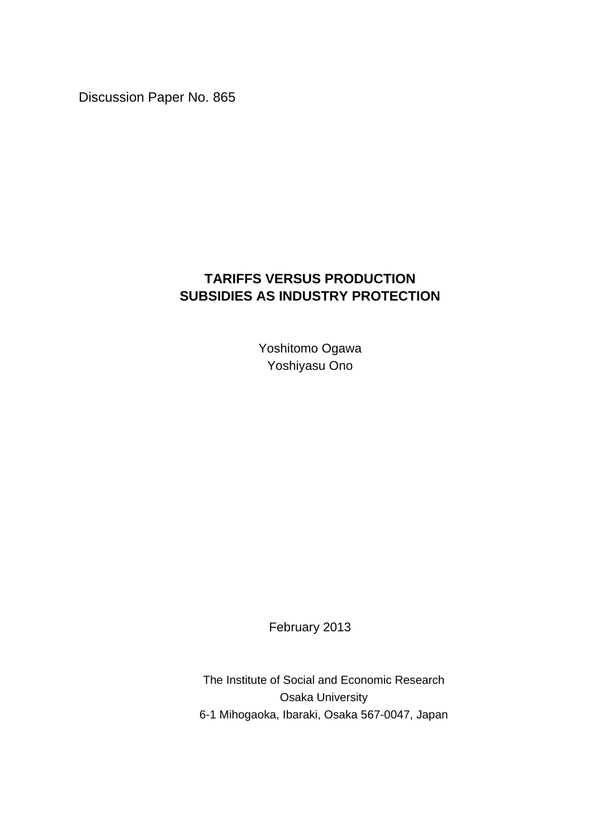Discussion Paper No. 865

## **TARIFFS VERSUS PRODUCTION SUBSIDIES AS INDUSTRY PROTECTION**

Yoshitomo Ogawa Yoshiyasu Ono

February 2013

The Institute of Social and Economic Research Osaka University 6-1 Mihogaoka, Ibaraki, Osaka 567-0047, Japan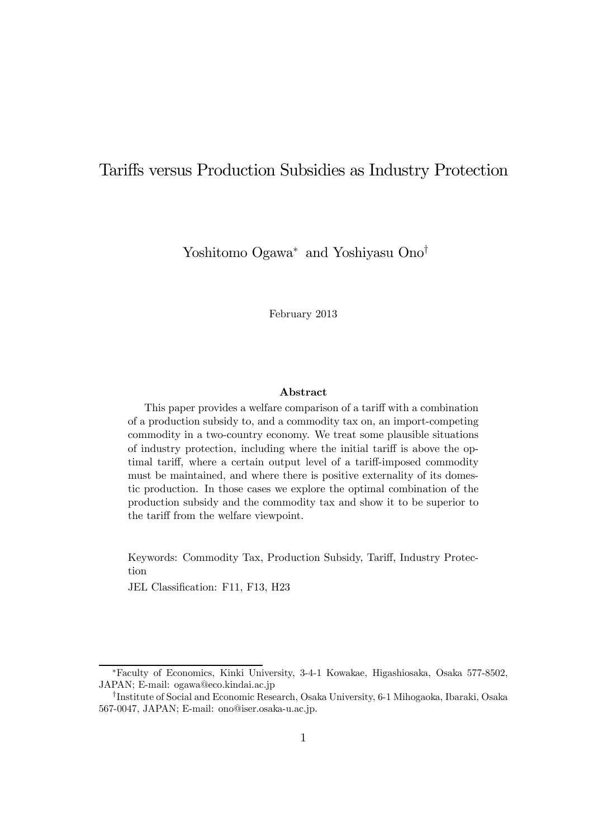## Tariffs versus Production Subsidies as Industry Protection

Yoshitomo Ogawa<sup>∗</sup> and Yoshiyasu Ono†

February 2013

#### Abstract

This paper provides a welfare comparison of a tariff with a combination of a production subsidy to, and a commodity tax on, an import-competing commodity in a two-country economy. We treat some plausible situations of industry protection, including where the initial tariff is above the optimal tariff, where a certain output level of a tariff-imposed commodity must be maintained, and where there is positive externality of its domestic production. In those cases we explore the optimal combination of the production subsidy and the commodity tax and show it to be superior to the tariff from the welfare viewpoint.

Keywords: Commodity Tax, Production Subsidy, Tariff, Industry Protection

JEL Classification: F11, F13, H23

<sup>∗</sup>Faculty of Economics, Kinki University, 3-4-1 Kowakae, Higashiosaka, Osaka 577-8502, JAPAN; E-mail: ogawa@eco.kindai.ac.jp

<sup>†</sup>Institute of Social and Economic Research, Osaka University, 6-1 Mihogaoka, Ibaraki, Osaka 567-0047, JAPAN; E-mail: ono@iser.osaka-u.ac.jp.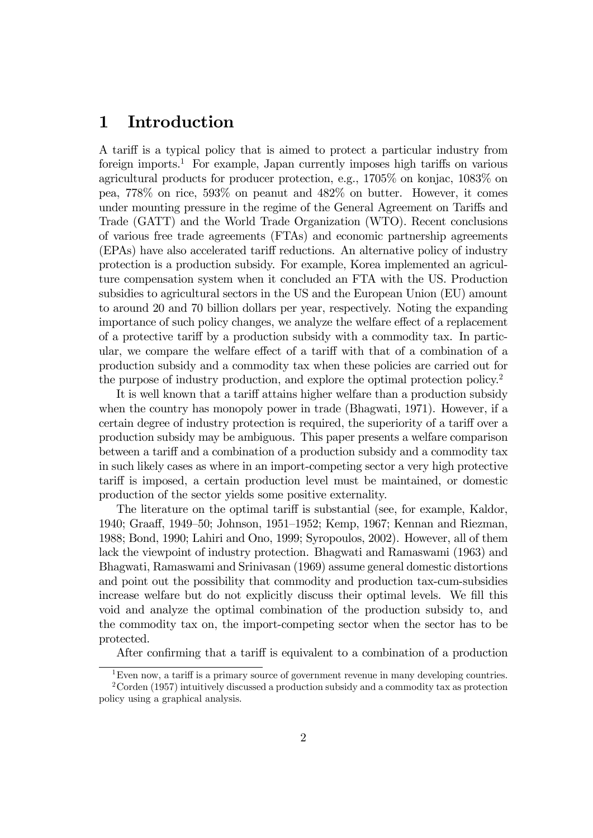## 1 Introduction

A tariff is a typical policy that is aimed to protect a particular industry from foreign imports.<sup>1</sup> For example, Japan currently imposes high tariffs on various agricultural products for producer protection, e.g., 1705% on konjac, 1083% on pea, 778% on rice, 593% on peanut and 482% on butter. However, it comes under mounting pressure in the regime of the General Agreement on Tariffs and Trade (GATT) and the World Trade Organization (WTO). Recent conclusions of various free trade agreements (FTAs) and economic partnership agreements (EPAs) have also accelerated tariff reductions. An alternative policy of industry protection is a production subsidy. For example, Korea implemented an agriculture compensation system when it concluded an FTA with the US. Production subsidies to agricultural sectors in the US and the European Union (EU) amount to around 20 and 70 billion dollars per year, respectively. Noting the expanding importance of such policy changes, we analyze the welfare effect of a replacement of a protective tariff by a production subsidy with a commodity tax. In particular, we compare the welfare effect of a tariff with that of a combination of a production subsidy and a commodity tax when these policies are carried out for the purpose of industry production, and explore the optimal protection policy.2

It is well known that a tariff attains higher welfare than a production subsidy when the country has monopoly power in trade (Bhagwati, 1971). However, if a certain degree of industry protection is required, the superiority of a tariff over a production subsidy may be ambiguous. This paper presents a welfare comparison between a tariff and a combination of a production subsidy and a commodity tax in such likely cases as where in an import-competing sector a very high protective tariff is imposed, a certain production level must be maintained, or domestic production of the sector yields some positive externality.

The literature on the optimal tariff is substantial (see, for example, Kaldor, 1940; Graaff, 1949—50; Johnson, 1951—1952; Kemp, 1967; Kennan and Riezman, 1988; Bond, 1990; Lahiri and Ono, 1999; Syropoulos, 2002). However, all of them lack the viewpoint of industry protection. Bhagwati and Ramaswami (1963) and Bhagwati, Ramaswami and Srinivasan (1969) assume general domestic distortions and point out the possibility that commodity and production tax-cum-subsidies increase welfare but do not explicitly discuss their optimal levels. We fill this void and analyze the optimal combination of the production subsidy to, and the commodity tax on, the import-competing sector when the sector has to be protected.

After confirming that a tariff is equivalent to a combination of a production

<sup>1</sup>Even now, a tariff is a primary source of government revenue in many developing countries.

<sup>2</sup>Corden (1957) intuitively discussed a production subsidy and a commodity tax as protection policy using a graphical analysis.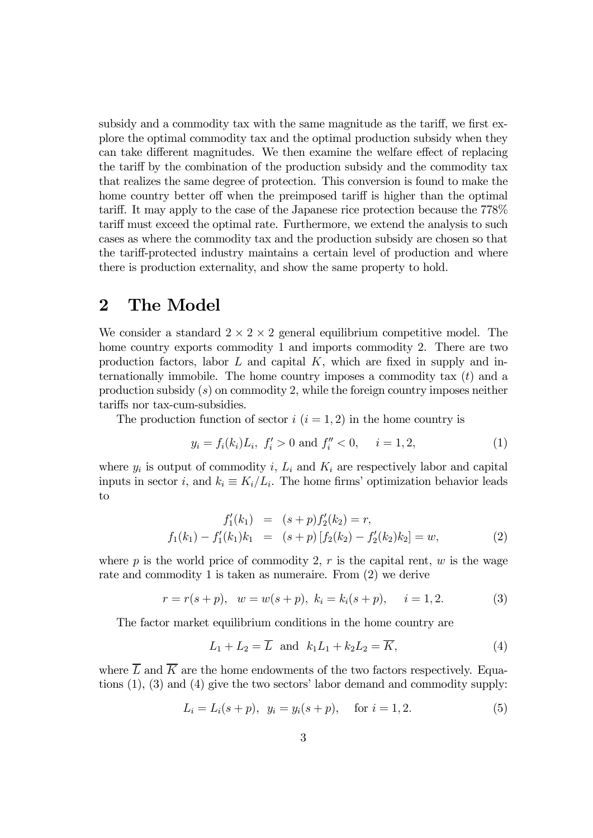subsidy and a commodity tax with the same magnitude as the tariff, we first explore the optimal commodity tax and the optimal production subsidy when they can take different magnitudes. We then examine the welfare effect of replacing the tariff by the combination of the production subsidy and the commodity tax that realizes the same degree of protection. This conversion is found to make the home country better off when the preimposed tariff is higher than the optimal tariff. It may apply to the case of the Japanese rice protection because the 778% tariff must exceed the optimal rate. Furthermore, we extend the analysis to such cases as where the commodity tax and the production subsidy are chosen so that the tariff-protected industry maintains a certain level of production and where there is production externality, and show the same property to hold.

## 2 The Model

We consider a standard  $2 \times 2 \times 2$  general equilibrium competitive model. The home country exports commodity 1 and imports commodity 2. There are two production factors, labor  $L$  and capital  $K$ , which are fixed in supply and internationally immobile. The home country imposes a commodity tax  $(t)$  and a production subsidy  $(s)$  on commodity 2, while the foreign country imposes neither tariffs nor tax-cum-subsidies.

The production function of sector  $i$   $(i = 1, 2)$  in the home country is

$$
y_i = f_i(k_i)L_i, \ f'_i > 0 \text{ and } f''_i < 0, \quad i = 1, 2,
$$
 (1)

where  $y_i$  is output of commodity i,  $L_i$  and  $K_i$  are respectively labor and capital inputs in sector i, and  $k_i \equiv K_i/L_i$ . The home firms' optimization behavior leads to

$$
f'_1(k_1) = (s+p)f'_2(k_2) = r,
$$
  
\n
$$
f_1(k_1) - f'_1(k_1)k_1 = (s+p)[f_2(k_2) - f'_2(k_2)k_2] = w,
$$
\n(2)

where p is the world price of commodity 2,  $r$  is the capital rent,  $w$  is the wage rate and commodity 1 is taken as numeraire. From (2) we derive

$$
r = r(s+p)
$$
,  $w = w(s+p)$ ,  $k_i = k_i(s+p)$ ,  $i = 1,2$ . (3)

The factor market equilibrium conditions in the home country are

$$
L_1 + L_2 = \overline{L} \quad \text{and} \quad k_1 L_1 + k_2 L_2 = \overline{K},\tag{4}
$$

where  $\overline{L}$  and  $\overline{K}$  are the home endowments of the two factors respectively. Equations (1), (3) and (4) give the two sectors' labor demand and commodity supply:

$$
L_i = L_i(s+p), \ \ y_i = y_i(s+p), \quad \text{for } i = 1, 2. \tag{5}
$$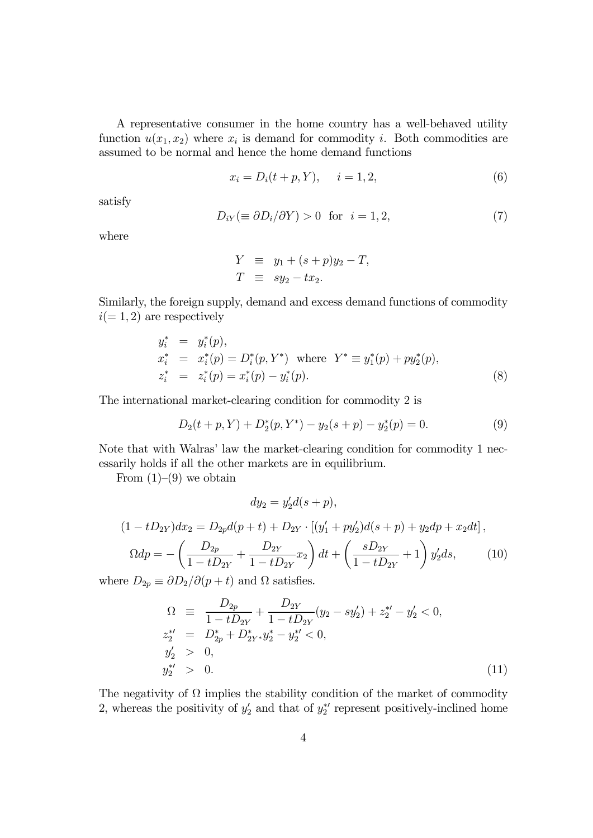A representative consumer in the home country has a well-behaved utility function  $u(x_1, x_2)$  where  $x_i$  is demand for commodity *i*. Both commodities are assumed to be normal and hence the home demand functions

$$
x_i = D_i(t + p, Y), \t i = 1, 2,
$$
\t(6)

satisfy

$$
D_{iY} (\equiv \partial D_i / \partial Y) > 0 \text{ for } i = 1, 2,
$$
 (7)

where

$$
Y \equiv y_1 + (s+p)y_2 - T,
$$
  
\n
$$
T \equiv sy_2 - tx_2.
$$

Similarly, the foreign supply, demand and excess demand functions of commodity  $i(= 1, 2)$  are respectively

$$
y_i^* = y_i^*(p),
$$
  
\n
$$
x_i^* = x_i^*(p) = D_i^*(p, Y^*) \text{ where } Y^* \equiv y_1^*(p) + py_2^*(p),
$$
  
\n
$$
z_i^* = z_i^*(p) = x_i^*(p) - y_i^*(p).
$$
\n(8)

The international market-clearing condition for commodity 2 is

$$
D_2(t+p,Y) + D_2^*(p,Y^*) - y_2(s+p) - y_2^*(p) = 0.
$$
\n(9)

Note that with Walras' law the market-clearing condition for commodity 1 necessarily holds if all the other markets are in equilibrium.

From  $(1)$ – $(9)$  we obtain

$$
dy_2 = y_2'd(s+p),
$$

$$
(1 - tD_{2Y})dx_2 = D_{2p}d(p + t) + D_{2Y} \cdot [(y'_1 + py'_2)d(s + p) + y_2dp + x_2dt],
$$
  
\n
$$
\Omega dp = -\left(\frac{D_{2p}}{1 - tD_{2Y}} + \frac{D_{2Y}}{1 - tD_{2Y}}x_2\right)dt + \left(\frac{sD_{2Y}}{1 - tD_{2Y}} + 1\right)y'_2ds,
$$
\n(10)

where  $D_{2p} \equiv \partial D_2/\partial (p+t)$  and  $\Omega$  satisfies.

$$
\Omega \equiv \frac{D_{2p}}{1 - t D_{2Y}} + \frac{D_{2Y}}{1 - t D_{2Y}} (y_2 - s y_2') + z_2^{*'} - y_2' < 0,
$$
  
\n
$$
z_2^{*'} = D_{2p}^* + D_{2Y^*}^* y_2^* - y_2^{*'} < 0,
$$
  
\n
$$
y_2' > 0,
$$
  
\n
$$
y_2^{*'} > 0.
$$
\n(11)

The negativity of  $\Omega$  implies the stability condition of the market of commodity 2, whereas the positivity of  $y_2'$  and that of  $y_2^*$  represent positively-inclined home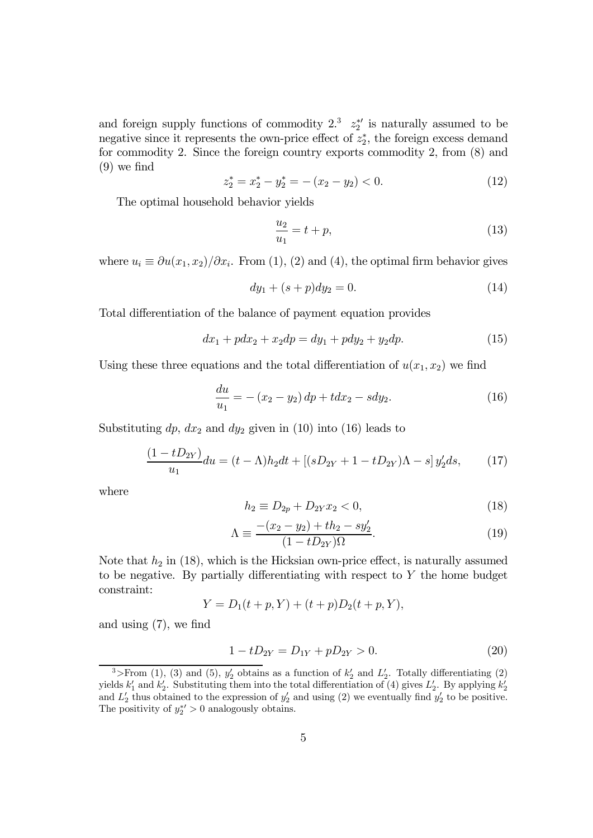and foreign supply functions of commodity  $2.\overline{3}$   $z_2^{*\prime}$  is naturally assumed to be negative since it represents the own-price effect of  $z_2^*$ , the foreign excess demand for commodity 2. Since the foreign country exports commodity 2, from (8) and (9) we find

$$
z_2^* = x_2^* - y_2^* = -(x_2 - y_2) < 0. \tag{12}
$$

The optimal household behavior yields

$$
\frac{u_2}{u_1} = t + p,\t\t(13)
$$

where  $u_i \equiv \partial u(x_1, x_2)/\partial x_i$ . From (1), (2) and (4), the optimal firm behavior gives

$$
dy_1 + (s+p)dy_2 = 0.
$$
 (14)

Total differentiation of the balance of payment equation provides

$$
dx_1 + pdx_2 + x_2dp = dy_1 + pdy_2 + y_2dp.
$$
 (15)

Using these three equations and the total differentiation of  $u(x_1, x_2)$  we find

$$
\frac{du}{u_1} = -(x_2 - y_2) dp + t dx_2 - s dy_2.
$$
 (16)

Substituting  $dp$ ,  $dx_2$  and  $dy_2$  given in (10) into (16) leads to

$$
\frac{(1 - tD_{2Y})}{u_1} du = (t - \Lambda)h_2 dt + [(sD_{2Y} + 1 - tD_{2Y})\Lambda - s] y_2'ds,
$$
 (17)

where

$$
h_2 \equiv D_{2p} + D_{2Y} x_2 < 0,\tag{18}
$$

$$
\Lambda = \frac{-(x_2 - y_2) + th_2 - sy'_2}{(1 - tD_{2Y})\Omega}.
$$
\n(19)

Note that  $h_2$  in (18), which is the Hicksian own-price effect, is naturally assumed to be negative. By partially differentiating with respect to Y the home budget constraint:

$$
Y = D_1(t + p, Y) + (t + p)D_2(t + p, Y),
$$

and using (7), we find

$$
1 - tD_{2Y} = D_{1Y} + pD_{2Y} > 0.
$$
 (20)

<sup>&</sup>lt;sup>3</sup>>From (1), (3) and (5),  $y_2'$  obtains as a function of  $k_2'$  and  $L_2'$ . Totally differentiating (2) yields  $k_1'$  and  $k_2'$ . Substituting them into the total differentiation of (4) gives  $L_2'$ . By applying  $k_2'$ and  $L_2'$  thus obtained to the expression of  $y_2'$  and using (2) we eventually find  $y_2'$  to be positive. The positivity of  $y_2^{*'} > 0$  analogously obtains.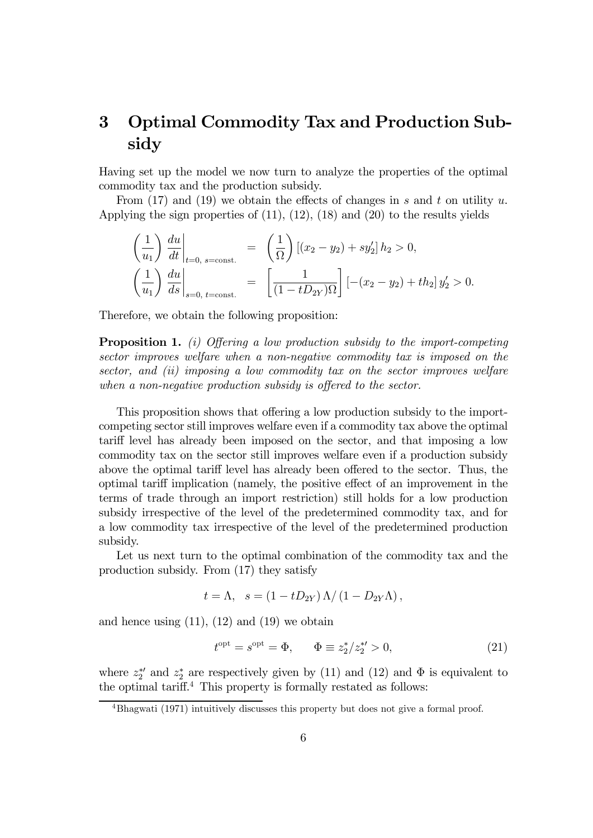# 3 Optimal Commodity Tax and Production Subsidy

Having set up the model we now turn to analyze the properties of the optimal commodity tax and the production subsidy.

From (17) and (19) we obtain the effects of changes in s and t on utility u. Applying the sign properties of  $(11)$ ,  $(12)$ ,  $(18)$  and  $(20)$  to the results yields

$$
\left(\frac{1}{u_1}\right) \left. \frac{du}{dt} \right|_{t=0, \text{ s=const.}} = \left(\frac{1}{\Omega}\right) \left[ (x_2 - y_2) + sy_2' \right] h_2 > 0,
$$
\n
$$
\left(\frac{1}{u_1}\right) \left. \frac{du}{ds} \right|_{s=0, \text{ t=const.}} = \left[ \frac{1}{(1 - tD_{2Y})\Omega} \right] \left[ -(x_2 - y_2) + th_2 \right] y_2' > 0.
$$

Therefore, we obtain the following proposition:

**Proposition 1.** (i) Offering a low production subsidy to the import-competing sector improves welfare when a non-negative commodity tax is imposed on the sector, and (ii) imposing a low commodity tax on the sector improves welfare when a non-negative production subsidy is offered to the sector.

This proposition shows that offering a low production subsidy to the importcompeting sector still improves welfare even if a commodity tax above the optimal tariff level has already been imposed on the sector, and that imposing a low commodity tax on the sector still improves welfare even if a production subsidy above the optimal tariff level has already been offered to the sector. Thus, the optimal tariff implication (namely, the positive effect of an improvement in the terms of trade through an import restriction) still holds for a low production subsidy irrespective of the level of the predetermined commodity tax, and for a low commodity tax irrespective of the level of the predetermined production subsidy.

Let us next turn to the optimal combination of the commodity tax and the production subsidy. From (17) they satisfy

$$
t = \Lambda
$$
,  $s = (1 - tD_{2Y}) \Lambda / (1 - D_{2Y} \Lambda)$ ,

and hence using  $(11)$ ,  $(12)$  and  $(19)$  we obtain

$$
t^{\text{opt}} = s^{\text{opt}} = \Phi, \qquad \Phi \equiv z_2^* / z_2^{*'} > 0,
$$
 (21)

where  $z_2^*$  and  $z_2^*$  are respectively given by (11) and (12) and  $\Phi$  is equivalent to the optimal tariff. <sup>4</sup> This property is formally restated as follows:

<sup>4</sup>Bhagwati (1971) intuitively discusses this property but does not give a formal proof.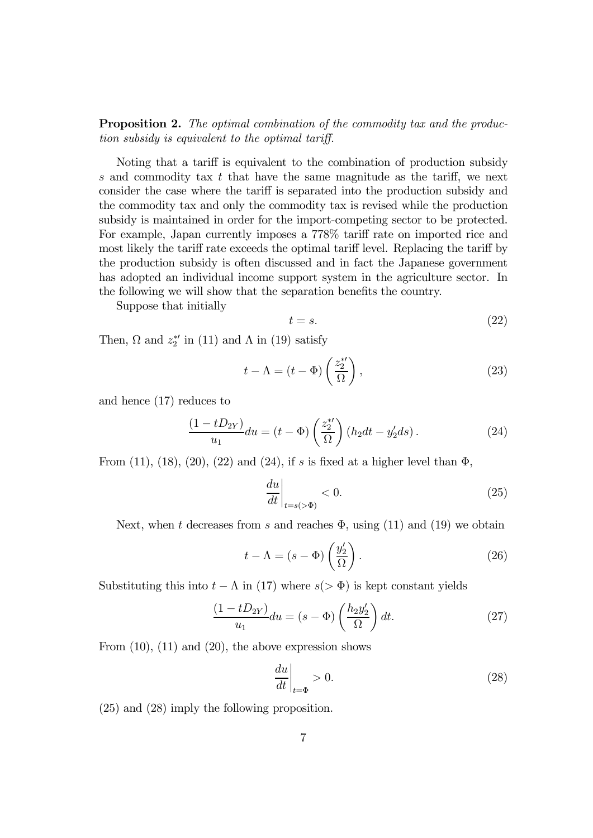**Proposition 2.** The optimal combination of the commodity tax and the production subsidy is equivalent to the optimal tariff.

Noting that a tariff is equivalent to the combination of production subsidy s and commodity tax t that have the same magnitude as the tariff, we next consider the case where the tariff is separated into the production subsidy and the commodity tax and only the commodity tax is revised while the production subsidy is maintained in order for the import-competing sector to be protected. For example, Japan currently imposes a 778% tariff rate on imported rice and most likely the tariff rate exceeds the optimal tariff level. Replacing the tariff by the production subsidy is often discussed and in fact the Japanese government has adopted an individual income support system in the agriculture sector. In the following we will show that the separation benefits the country.

Suppose that initially

$$
t = s.\t\t(22)
$$

Then,  $\Omega$  and  $z_2^*$  in (11) and  $\Lambda$  in (19) satisfy

$$
t - \Lambda = (t - \Phi) \left(\frac{z_2^{*'}}{\Omega}\right),\tag{23}
$$

and hence (17) reduces to

$$
\frac{(1 - tD_{2Y})}{u_1} du = (t - \Phi) \left(\frac{z_2^{*}}{\Omega}\right) \left(h_2 dt - y_2' ds\right). \tag{24}
$$

From (11), (18), (20), (22) and (24), if s is fixed at a higher level than  $\Phi$ ,

$$
\left. \frac{du}{dt} \right|_{t=s(>\Phi)} < 0. \tag{25}
$$

Next, when t decreases from s and reaches  $\Phi$ , using (11) and (19) we obtain

$$
t - \Lambda = (s - \Phi) \left(\frac{y_2'}{\Omega}\right). \tag{26}
$$

Substituting this into  $t - \Lambda$  in (17) where  $s(>\Phi)$  is kept constant yields

$$
\frac{(1 - tD_{2Y})}{u_1} du = (s - \Phi) \left(\frac{h_2 y_2'}{\Omega}\right) dt.
$$
 (27)

From  $(10)$ ,  $(11)$  and  $(20)$ , the above expression shows

$$
\left. \frac{du}{dt} \right|_{t=\Phi} > 0. \tag{28}
$$

(25) and (28) imply the following proposition.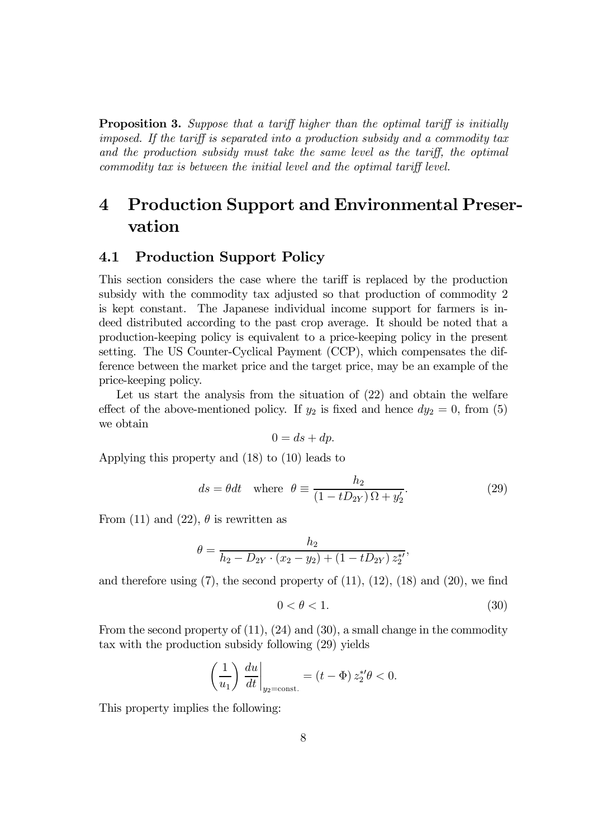**Proposition 3.** Suppose that a tariff higher than the optimal tariff is initially imposed. If the tariff is separated into a production subsidy and a commodity tax and the production subsidy must take the same level as the tariff, the optimal commodity tax is between the initial level and the optimal tariff level.

# 4 Production Support and Environmental Preservation

### 4.1 Production Support Policy

This section considers the case where the tariff is replaced by the production subsidy with the commodity tax adjusted so that production of commodity 2 is kept constant. The Japanese individual income support for farmers is indeed distributed according to the past crop average. It should be noted that a production-keeping policy is equivalent to a price-keeping policy in the present setting. The US Counter-Cyclical Payment (CCP), which compensates the difference between the market price and the target price, may be an example of the price-keeping policy.

Let us start the analysis from the situation of (22) and obtain the welfare effect of the above-mentioned policy. If  $y_2$  is fixed and hence  $dy_2 = 0$ , from (5) we obtain

$$
0 = ds + dp.
$$

Applying this property and (18) to (10) leads to

$$
ds = \theta dt \quad \text{where} \quad \theta \equiv \frac{h_2}{(1 - tD_{2Y})\,\Omega + y_2'}.\tag{29}
$$

From (11) and (22),  $\theta$  is rewritten as

$$
\theta = \frac{h_2}{h_2 - D_{2Y} \cdot (x_2 - y_2) + (1 - tD_{2Y}) z_2^{*'}},
$$

and therefore using  $(7)$ , the second property of  $(11)$ ,  $(12)$ ,  $(18)$  and  $(20)$ , we find

$$
0 < \theta < 1. \tag{30}
$$

From the second property of (11), (24) and (30), a small change in the commodity tax with the production subsidy following (29) yields

$$
\left(\frac{1}{u_1}\right)\frac{du}{dt}\bigg|_{y_2=\text{const.}} = (t - \Phi) z_2^{*\prime} \theta < 0.
$$

This property implies the following: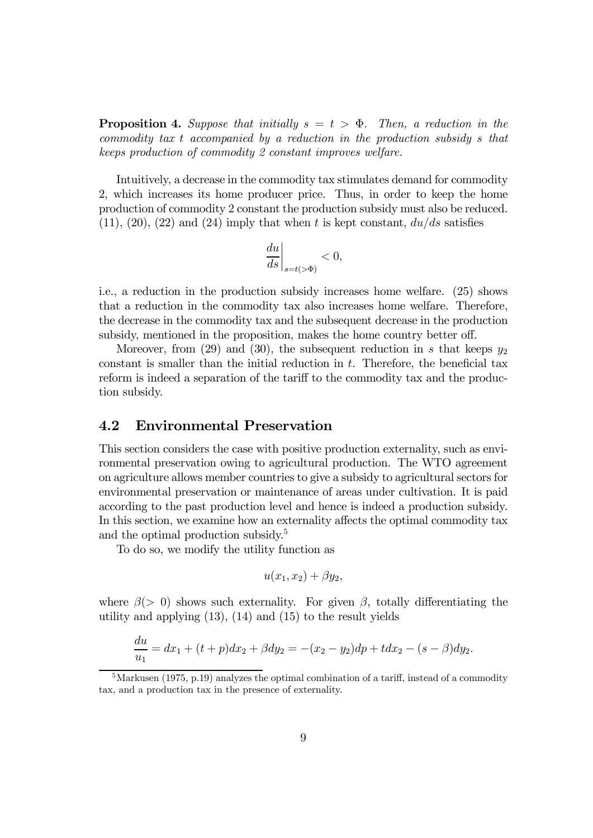**Proposition 4.** Suppose that initially  $s = t > \Phi$ . Then, a reduction in the commodity tax t accompanied by a reduction in the production subsidy s that keeps production of commodity 2 constant improves welfare.

Intuitively, a decrease in the commodity tax stimulates demand for commodity 2, which increases its home producer price. Thus, in order to keep the home production of commodity 2 constant the production subsidy must also be reduced.  $(11), (20), (22)$  and  $(24)$  imply that when t is kept constant,  $du/ds$  satisfies

$$
\left. \frac{du}{ds} \right|_{s=t(>\Phi)} < 0,
$$

i.e., a reduction in the production subsidy increases home welfare. (25) shows that a reduction in the commodity tax also increases home welfare. Therefore, the decrease in the commodity tax and the subsequent decrease in the production subsidy, mentioned in the proposition, makes the home country better off.

Moreover, from (29) and (30), the subsequent reduction in s that keeps  $y_2$ constant is smaller than the initial reduction in  $t$ . Therefore, the beneficial tax reform is indeed a separation of the tariff to the commodity tax and the production subsidy.

### 4.2 Environmental Preservation

This section considers the case with positive production externality, such as environmental preservation owing to agricultural production. The WTO agreement on agriculture allows member countries to give a subsidy to agricultural sectors for environmental preservation or maintenance of areas under cultivation. It is paid according to the past production level and hence is indeed a production subsidy. In this section, we examine how an externality affects the optimal commodity tax and the optimal production subsidy.5

To do so, we modify the utility function as

$$
u(x_1, x_2) + \beta y_2,
$$

where  $\beta$ (> 0) shows such externality. For given  $\beta$ , totally differentiating the utility and applying (13), (14) and (15) to the result yields

$$
\frac{du}{u_1} = dx_1 + (t+p)dx_2 + \beta dy_2 = -(x_2 - y_2)dp + t dx_2 - (s-\beta)dy_2.
$$

<sup>&</sup>lt;sup>5</sup>Markusen (1975, p.19) analyzes the optimal combination of a tariff, instead of a commodity tax, and a production tax in the presence of externality.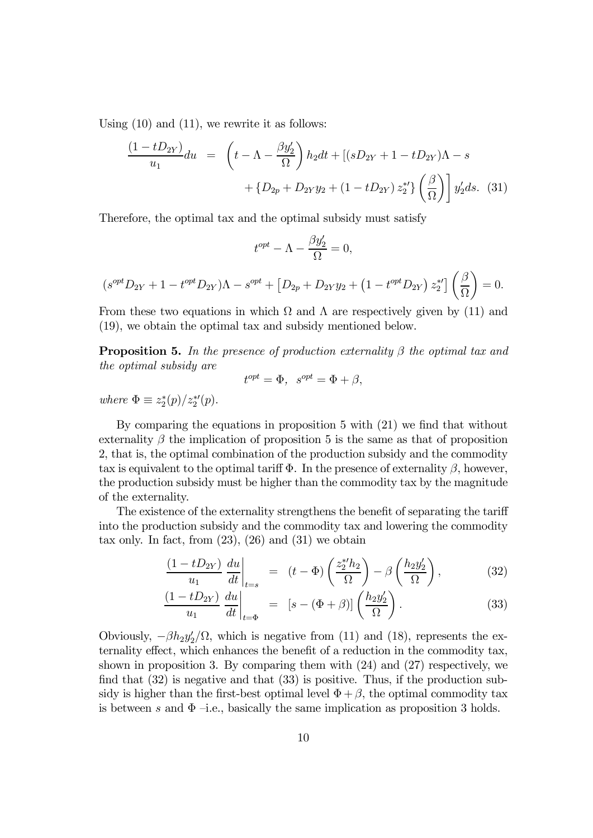Using  $(10)$  and  $(11)$ , we rewrite it as follows:

$$
\frac{(1 - tD_{2Y})}{u_1} du = \left( t - \Lambda - \frac{\beta y_2'}{\Omega} \right) h_2 dt + \left[ (sD_{2Y} + 1 - tD_{2Y})\Lambda - s + \left\{ D_{2p} + D_{2Y}y_2 + (1 - tD_{2Y}) z_2^{*'} \right\} \left( \frac{\beta}{\Omega} \right) \right] y_2' ds. (31)
$$

Therefore, the optimal tax and the optimal subsidy must satisfy

$$
t^{opt} - \Lambda - \frac{\beta y_2'}{\Omega} = 0,
$$
  

$$
(s^{opt}D_{2Y} + 1 - t^{opt}D_{2Y})\Lambda - s^{opt} + [D_{2p} + D_{2Y}y_2 + (1 - t^{opt}D_{2Y}) z_2^{*'}] \left(\frac{\beta}{\Omega}\right) = 0.
$$

From these two equations in which  $\Omega$  and  $\Lambda$  are respectively given by (11) and (19), we obtain the optimal tax and subsidy mentioned below.

**Proposition 5.** In the presence of production externality  $\beta$  the optimal tax and the optimal subsidy are

$$
t^{opt} = \Phi, \ \ s^{opt} = \Phi + \beta,
$$

where  $\Phi \equiv z_2^*(p)/z_2^{*\prime}(p)$ .

By comparing the equations in proposition 5 with (21) we find that without externality  $\beta$  the implication of proposition 5 is the same as that of proposition 2, that is, the optimal combination of the production subsidy and the commodity tax is equivalent to the optimal tariff  $\Phi$ . In the presence of externality  $\beta$ , however, the production subsidy must be higher than the commodity tax by the magnitude of the externality.

The existence of the externality strengthens the benefit of separating the tariff into the production subsidy and the commodity tax and lowering the commodity tax only. In fact, from  $(23)$ ,  $(26)$  and  $(31)$  we obtain

$$
\frac{(1 - tD_{2Y})}{u_1} \frac{du}{dt}\bigg|_{t=s} = (t - \Phi) \left(\frac{z_2^{*'}h_2}{\Omega}\right) - \beta \left(\frac{h_2 y_2'}{\Omega}\right),\tag{32}
$$

$$
\frac{(1 - tD_{2Y})}{u_1} \frac{du}{dt}\bigg|_{t = \Phi} = [s - (\Phi + \beta)] \left(\frac{h_2 y_2'}{\Omega}\right). \tag{33}
$$

Obviously,  $-\beta h_2 y_2' / \Omega$ , which is negative from (11) and (18), represents the externality effect, which enhances the benefit of a reduction in the commodity tax, shown in proposition 3. By comparing them with (24) and (27) respectively, we find that (32) is negative and that (33) is positive. Thus, if the production subsidy is higher than the first-best optimal level  $\Phi + \beta$ , the optimal commodity tax is between s and  $\Phi$  –i.e., basically the same implication as proposition 3 holds.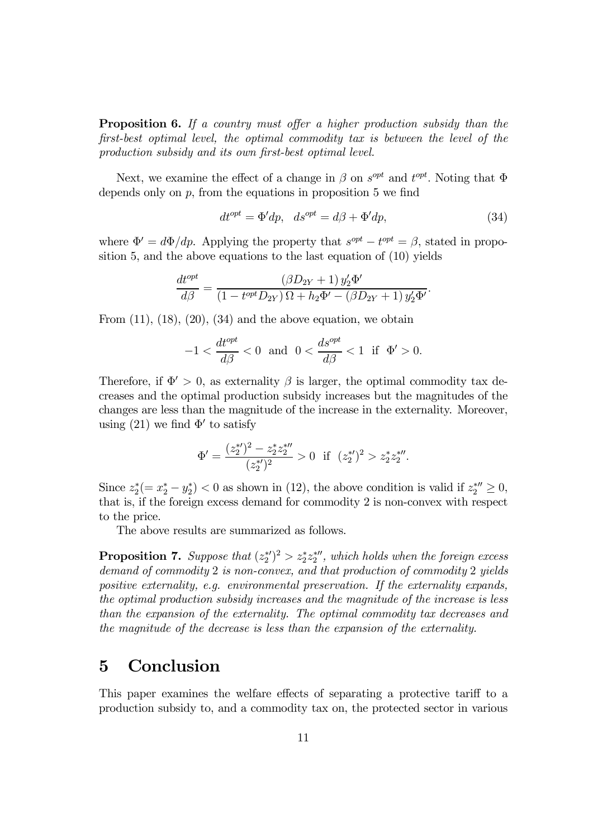**Proposition 6.** If a country must offer a higher production subsidy than the first-best optimal level, the optimal commodity tax is between the level of the production subsidy and its own first-best optimal level.

Next, we examine the effect of a change in  $\beta$  on  $s^{opt}$  and  $t^{opt}$ . Noting that  $\Phi$ depends only on  $p$ , from the equations in proposition 5 we find

$$
dt^{opt} = \Phi'dp, \quad ds^{opt} = d\beta + \Phi'dp,\tag{34}
$$

where  $\Phi' = d\Phi/dp$ . Applying the property that  $s^{opt} - t^{opt} = \beta$ , stated in proposition 5, and the above equations to the last equation of (10) yields

$$
\frac{dt^{opt}}{d\beta} = \frac{(\beta D_{2Y} + 1) y_2' \Phi'}{(1 - t^{opt} D_{2Y}) \Omega + h_2 \Phi' - (\beta D_{2Y} + 1) y_2' \Phi'}.
$$

From  $(11)$ ,  $(18)$ ,  $(20)$ ,  $(34)$  and the above equation, we obtain

$$
-1 < \frac{dt^{opt}}{d\beta} < 0 \text{ and } 0 < \frac{ds^{opt}}{d\beta} < 1 \text{ if } \Phi' > 0.
$$

Therefore, if  $\Phi' > 0$ , as externality  $\beta$  is larger, the optimal commodity tax decreases and the optimal production subsidy increases but the magnitudes of the changes are less than the magnitude of the increase in the externality. Moreover, using (21) we find  $\Phi'$  to satisfy

$$
\Phi' = \frac{(z_2^{*})^2 - z_2^{*} z_2^{* \prime \prime}}{(z_2^{* \prime})^2} > 0 \quad \text{if} \quad (z_2^{* \prime})^2 > z_2^{*} z_2^{* \prime \prime}.
$$

Since  $z_2^*(-x_2^*-y_2^*)$  < 0 as shown in (12), the above condition is valid if  $z_2^{*\prime\prime} \geq 0$ , that is, if the foreign excess demand for commodity 2 is non-convex with respect to the price.

The above results are summarized as follows.

**Proposition 7.** Suppose that  $(z_2^*)^2 > z_2^* z_2^*$ , which holds when the foreign excess demand of commodity 2 is non-convex, and that production of commodity 2 yields positive externality, e.g. environmental preservation. If the externality expands, the optimal production subsidy increases and the magnitude of the increase is less than the expansion of the externality. The optimal commodity tax decreases and the magnitude of the decrease is less than the expansion of the externality.

### 5 Conclusion

This paper examines the welfare effects of separating a protective tariff to a production subsidy to, and a commodity tax on, the protected sector in various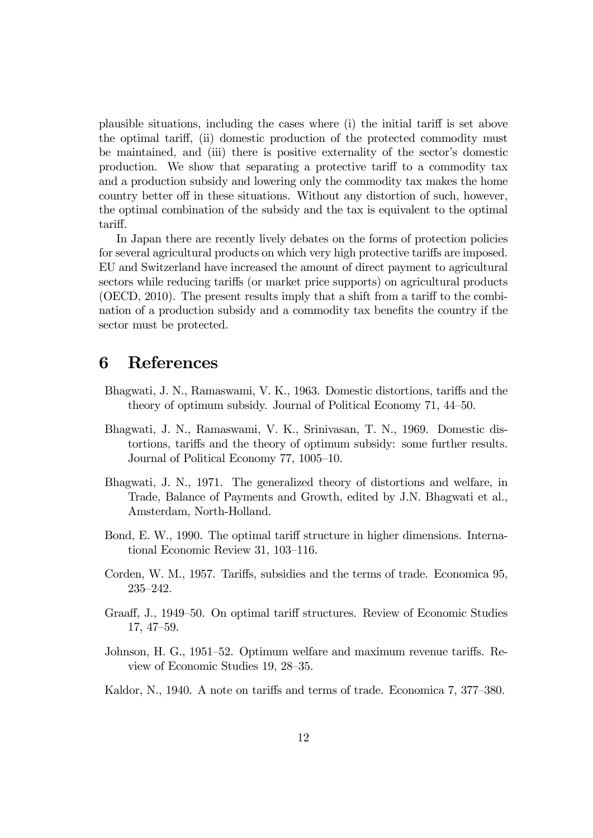plausible situations, including the cases where (i) the initial tariff is set above the optimal tariff, (ii) domestic production of the protected commodity must be maintained, and (iii) there is positive externality of the sector's domestic production. We show that separating a protective tariff to a commodity tax and a production subsidy and lowering only the commodity tax makes the home country better off in these situations. Without any distortion of such, however, the optimal combination of the subsidy and the tax is equivalent to the optimal tariff.

In Japan there are recently lively debates on the forms of protection policies for several agricultural products on which very high protective tariffs are imposed. EU and Switzerland have increased the amount of direct payment to agricultural sectors while reducing tariffs (or market price supports) on agricultural products (OECD, 2010). The present results imply that a shift from a tariff to the combination of a production subsidy and a commodity tax benefits the country if the sector must be protected.

## 6 References

- Bhagwati, J. N., Ramaswami, V. K., 1963. Domestic distortions, tariffs and the theory of optimum subsidy. Journal of Political Economy 71, 44—50.
- Bhagwati, J. N., Ramaswami, V. K., Srinivasan, T. N., 1969. Domestic distortions, tariffs and the theory of optimum subsidy: some further results. Journal of Political Economy 77, 1005—10.
- Bhagwati, J. N., 1971. The generalized theory of distortions and welfare, in Trade, Balance of Payments and Growth, edited by J.N. Bhagwati et al., Amsterdam, North-Holland.
- Bond, E. W., 1990. The optimal tariff structure in higher dimensions. International Economic Review 31, 103—116.
- Corden, W. M., 1957. Tariffs, subsidies and the terms of trade. Economica 95, 235—242.
- Graaff, J., 1949—50. On optimal tariff structures. Review of Economic Studies 17, 47—59.
- Johnson, H. G., 1951—52. Optimum welfare and maximum revenue tariffs. Review of Economic Studies 19, 28—35.
- Kaldor, N., 1940. A note on tariffs and terms of trade. Economica 7, 377—380.